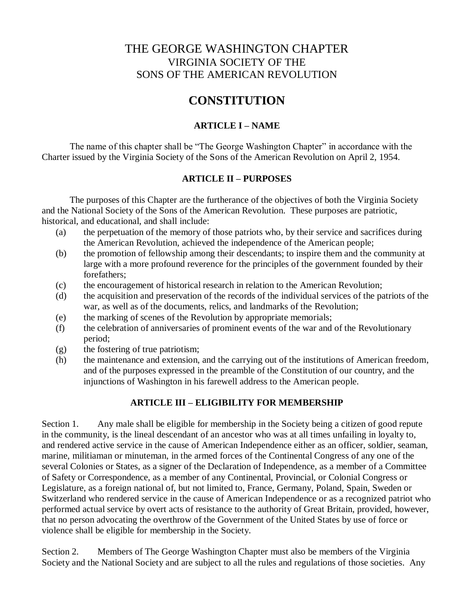# THE GEORGE WASHINGTON CHAPTER VIRGINIA SOCIETY OF THE SONS OF THE AMERICAN REVOLUTION

# **CONSTITUTION**

# **ARTICLE I – NAME**

The name of this chapter shall be "The George Washington Chapter" in accordance with the Charter issued by the Virginia Society of the Sons of the American Revolution on April 2, 1954.

## **ARTICLE II – PURPOSES**

The purposes of this Chapter are the furtherance of the objectives of both the Virginia Society and the National Society of the Sons of the American Revolution. These purposes are patriotic, historical, and educational, and shall include:

- (a) the perpetuation of the memory of those patriots who, by their service and sacrifices during the American Revolution, achieved the independence of the American people;
- (b) the promotion of fellowship among their descendants; to inspire them and the community at large with a more profound reverence for the principles of the government founded by their forefathers;
- (c) the encouragement of historical research in relation to the American Revolution;
- (d) the acquisition and preservation of the records of the individual services of the patriots of the war, as well as of the documents, relics, and landmarks of the Revolution;
- (e) the marking of scenes of the Revolution by appropriate memorials;
- (f) the celebration of anniversaries of prominent events of the war and of the Revolutionary period;
- (g) the fostering of true patriotism;
- (h) the maintenance and extension, and the carrying out of the institutions of American freedom, and of the purposes expressed in the preamble of the Constitution of our country, and the injunctions of Washington in his farewell address to the American people.

## **ARTICLE III – ELIGIBILITY FOR MEMBERSHIP**

Section 1. Any male shall be eligible for membership in the Society being a citizen of good repute in the community, is the lineal descendant of an ancestor who was at all times unfailing in loyalty to, and rendered active service in the cause of American Independence either as an officer, soldier, seaman, marine, militiaman or minuteman, in the armed forces of the Continental Congress of any one of the several Colonies or States, as a signer of the Declaration of Independence, as a member of a Committee of Safety or Correspondence, as a member of any Continental, Provincial, or Colonial Congress or Legislature, as a foreign national of, but not limited to, France, Germany, Poland, Spain, Sweden or Switzerland who rendered service in the cause of American Independence or as a recognized patriot who performed actual service by overt acts of resistance to the authority of Great Britain, provided, however, that no person advocating the overthrow of the Government of the United States by use of force or violence shall be eligible for membership in the Society.

Section 2. Members of The George Washington Chapter must also be members of the Virginia Society and the National Society and are subject to all the rules and regulations of those societies. Any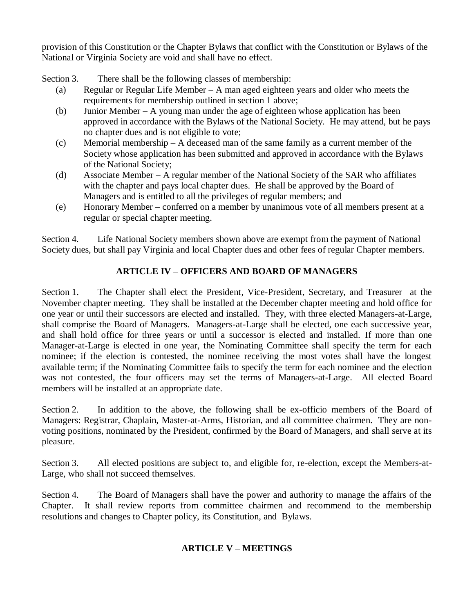provision of this Constitution or the Chapter Bylaws that conflict with the Constitution or Bylaws of the National or Virginia Society are void and shall have no effect.

Section 3. There shall be the following classes of membership:

- (a) Regular or Regular Life Member A man aged eighteen years and older who meets the requirements for membership outlined in section 1 above;
- (b) Junior Member A young man under the age of eighteen whose application has been approved in accordance with the Bylaws of the National Society. He may attend, but he pays no chapter dues and is not eligible to vote;
- (c) Memorial membership A deceased man of the same family as a current member of the Society whose application has been submitted and approved in accordance with the Bylaws of the National Society;
- (d) Associate Member A regular member of the National Society of the SAR who affiliates with the chapter and pays local chapter dues. He shall be approved by the Board of Managers and is entitled to all the privileges of regular members; and
- (e) Honorary Member conferred on a member by unanimous vote of all members present at a regular or special chapter meeting.

Section 4. Life National Society members shown above are exempt from the payment of National Society dues, but shall pay Virginia and local Chapter dues and other fees of regular Chapter members.

# **ARTICLE IV – OFFICERS AND BOARD OF MANAGERS**

Section 1. The Chapter shall elect the President, Vice-President, Secretary, and Treasurer at the November chapter meeting. They shall be installed at the December chapter meeting and hold office for one year or until their successors are elected and installed. They, with three elected Managers-at-Large, shall comprise the Board of Managers. Managers-at-Large shall be elected, one each successive year, and shall hold office for three years or until a successor is elected and installed. If more than one Manager-at-Large is elected in one year, the Nominating Committee shall specify the term for each nominee; if the election is contested, the nominee receiving the most votes shall have the longest available term; if the Nominating Committee fails to specify the term for each nominee and the election was not contested, the four officers may set the terms of Managers-at-Large. All elected Board members will be installed at an appropriate date.

Section 2. In addition to the above, the following shall be ex-officio members of the Board of Managers: Registrar, Chaplain, Master-at-Arms, Historian, and all committee chairmen. They are nonvoting positions, nominated by the President, confirmed by the Board of Managers, and shall serve at its pleasure.

Section 3. All elected positions are subject to, and eligible for, re-election, except the Members-at-Large, who shall not succeed themselves.

Section 4. The Board of Managers shall have the power and authority to manage the affairs of the Chapter. It shall review reports from committee chairmen and recommend to the membership resolutions and changes to Chapter policy, its Constitution, and Bylaws.

# **ARTICLE V – MEETINGS**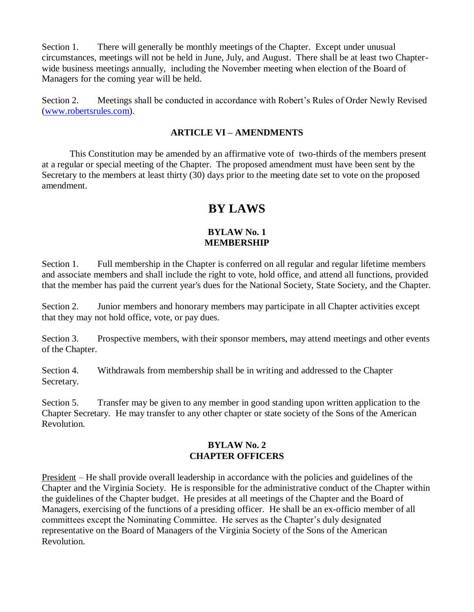Section 1. There will generally be monthly meetings of the Chapter. Except under unusual circumstances, meetings will not be held in June, July, and August. There shall be at least two Chapterwide business meetings annually, including the November meeting when election of the Board of Managers for the coming year will be held.

Section 2. Meetings shall be conducted in accordance with Robert's Rules of Order Newly Revised [\(www.robertsrules.com\)](http://www.robertsrules.com/).

#### **ARTICLE VI – AMENDMENTS**

This Constitution may be amended by an affirmative vote of two-thirds of the members present at a regular or special meeting of the Chapter. The proposed amendment must have been sent by the Secretary to the members at least thirty (30) days prior to the meeting date set to vote on the proposed amendment.

# **BY LAWS**

#### **BYLAW No. 1 MEMBERSHIP**

Section 1. Full membership in the Chapter is conferred on all regular and regular lifetime members and associate members and shall include the right to vote, hold office, and attend all functions, provided that the member has paid the current year's dues for the National Society, State Society, and the Chapter.

Section 2. Junior members and honorary members may participate in all Chapter activities except that they may not hold office, vote, or pay dues.

Section 3. Prospective members, with their sponsor members, may attend meetings and other events of the Chapter.

Section 4. Withdrawals from membership shall be in writing and addressed to the Chapter Secretary.

Section 5. Transfer may be given to any member in good standing upon written application to the Chapter Secretary. He may transfer to any other chapter or state society of the Sons of the American Revolution.

#### **BYLAW No. 2 CHAPTER OFFICERS**

President – He shall provide overall leadership in accordance with the policies and guidelines of the Chapter and the Virginia Society. He is responsible for the administrative conduct of the Chapter within the guidelines of the Chapter budget. He presides at all meetings of the Chapter and the Board of Managers, exercising of the functions of a presiding officer. He shall be an ex-officio member of all committees except the Nominating Committee. He serves as the Chapter's duly designated representative on the Board of Managers of the Virginia Society of the Sons of the American Revolution.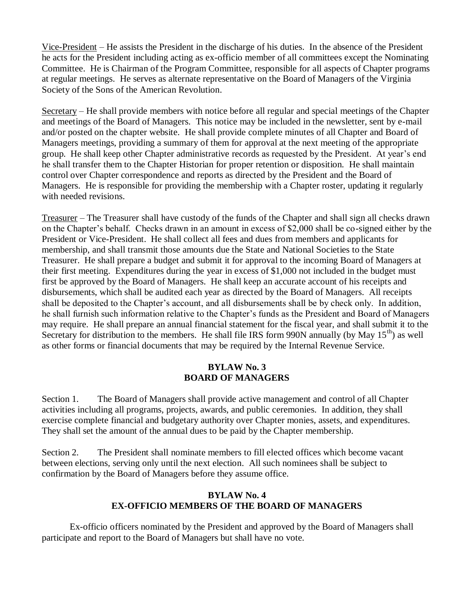Vice-President – He assists the President in the discharge of his duties. In the absence of the President he acts for the President including acting as ex-officio member of all committees except the Nominating Committee. He is Chairman of the Program Committee, responsible for all aspects of Chapter programs at regular meetings. He serves as alternate representative on the Board of Managers of the Virginia Society of the Sons of the American Revolution.

Secretary – He shall provide members with notice before all regular and special meetings of the Chapter and meetings of the Board of Managers. This notice may be included in the newsletter, sent by e-mail and/or posted on the chapter website. He shall provide complete minutes of all Chapter and Board of Managers meetings, providing a summary of them for approval at the next meeting of the appropriate group. He shall keep other Chapter administrative records as requested by the President. At year's end he shall transfer them to the Chapter Historian for proper retention or disposition. He shall maintain control over Chapter correspondence and reports as directed by the President and the Board of Managers. He is responsible for providing the membership with a Chapter roster, updating it regularly with needed revisions.

Treasurer – The Treasurer shall have custody of the funds of the Chapter and shall sign all checks drawn on the Chapter's behalf. Checks drawn in an amount in excess of \$2,000 shall be co-signed either by the President or Vice-President. He shall collect all fees and dues from members and applicants for membership, and shall transmit those amounts due the State and National Societies to the State Treasurer. He shall prepare a budget and submit it for approval to the incoming Board of Managers at their first meeting. Expenditures during the year in excess of \$1,000 not included in the budget must first be approved by the Board of Managers. He shall keep an accurate account of his receipts and disbursements, which shall be audited each year as directed by the Board of Managers. All receipts shall be deposited to the Chapter's account, and all disbursements shall be by check only. In addition, he shall furnish such information relative to the Chapter's funds as the President and Board of Managers may require. He shall prepare an annual financial statement for the fiscal year, and shall submit it to the Secretary for distribution to the members. He shall file IRS form 990N annually (by May  $15<sup>th</sup>$ ) as well as other forms or financial documents that may be required by the Internal Revenue Service.

### **BYLAW No. 3 BOARD OF MANAGERS**

Section 1. The Board of Managers shall provide active management and control of all Chapter activities including all programs, projects, awards, and public ceremonies. In addition, they shall exercise complete financial and budgetary authority over Chapter monies, assets, and expenditures. They shall set the amount of the annual dues to be paid by the Chapter membership.

Section 2. The President shall nominate members to fill elected offices which become vacant between elections, serving only until the next election. All such nominees shall be subject to confirmation by the Board of Managers before they assume office.

### **BYLAW No. 4 EX-OFFICIO MEMBERS OF THE BOARD OF MANAGERS**

Ex-officio officers nominated by the President and approved by the Board of Managers shall participate and report to the Board of Managers but shall have no vote.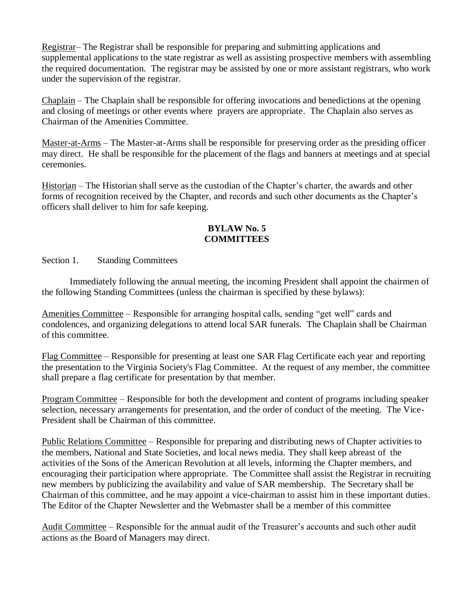Registrar– The Registrar shall be responsible for preparing and submitting applications and supplemental applications to the state registrar as well as assisting prospective members with assembling the required documentation. The registrar may be assisted by one or more assistant registrars, who work under the supervision of the registrar.

Chaplain – The Chaplain shall be responsible for offering invocations and benedictions at the opening and closing of meetings or other events where prayers are appropriate. The Chaplain also serves as Chairman of the Amenities Committee.

Master-at-Arms – The Master-at-Arms shall be responsible for preserving order as the presiding officer may direct. He shall be responsible for the placement of the flags and banners at meetings and at special ceremonies.

Historian – The Historian shall serve as the custodian of the Chapter's charter, the awards and other forms of recognition received by the Chapter, and records and such other documents as the Chapter's officers shall deliver to him for safe keeping.

### **BYLAW No. 5 COMMITTEES**

Section 1. Standing Committees

Immediately following the annual meeting, the incoming President shall appoint the chairmen of the following Standing Committees (unless the chairman is specified by these bylaws):

Amenities Committee – Responsible for arranging hospital calls, sending "get well" cards and condolences, and organizing delegations to attend local SAR funerals. The Chaplain shall be Chairman of this committee.

Flag Committee – Responsible for presenting at least one SAR Flag Certificate each year and reporting the presentation to the Virginia Society's Flag Committee. At the request of any member, the committee shall prepare a flag certificate for presentation by that member.

Program Committee – Responsible for both the development and content of programs including speaker selection, necessary arrangements for presentation, and the order of conduct of the meeting. The Vice-President shall be Chairman of this committee.

Public Relations Committee – Responsible for preparing and distributing news of Chapter activities to the members, National and State Societies, and local news media. They shall keep abreast of the activities of the Sons of the American Revolution at all levels, informing the Chapter members, and encouraging their participation where appropriate. The Committee shall assist the Registrar in recruiting new members by publicizing the availability and value of SAR membership. The Secretary shall be Chairman of this committee, and he may appoint a vice-chairman to assist him in these important duties. The Editor of the Chapter Newsletter and the Webmaster shall be a member of this committee

Audit Committee – Responsible for the annual audit of the Treasurer's accounts and such other audit actions as the Board of Managers may direct.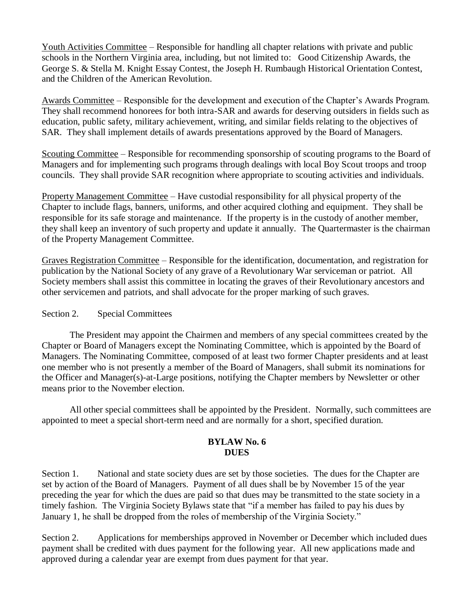Youth Activities Committee – Responsible for handling all chapter relations with private and public schools in the Northern Virginia area, including, but not limited to: Good Citizenship Awards, the George S. & Stella M. Knight Essay Contest, the Joseph H. Rumbaugh Historical Orientation Contest, and the Children of the American Revolution.

Awards Committee – Responsible for the development and execution of the Chapter's Awards Program. They shall recommend honorees for both intra-SAR and awards for deserving outsiders in fields such as education, public safety, military achievement, writing, and similar fields relating to the objectives of SAR. They shall implement details of awards presentations approved by the Board of Managers.

Scouting Committee – Responsible for recommending sponsorship of scouting programs to the Board of Managers and for implementing such programs through dealings with local Boy Scout troops and troop councils. They shall provide SAR recognition where appropriate to scouting activities and individuals.

Property Management Committee – Have custodial responsibility for all physical property of the Chapter to include flags, banners, uniforms, and other acquired clothing and equipment. They shall be responsible for its safe storage and maintenance. If the property is in the custody of another member, they shall keep an inventory of such property and update it annually. The Quartermaster is the chairman of the Property Management Committee.

Graves Registration Committee – Responsible for the identification, documentation, and registration for publication by the National Society of any grave of a Revolutionary War serviceman or patriot. All Society members shall assist this committee in locating the graves of their Revolutionary ancestors and other servicemen and patriots, and shall advocate for the proper marking of such graves.

#### Section 2. Special Committees

The President may appoint the Chairmen and members of any special committees created by the Chapter or Board of Managers except the Nominating Committee, which is appointed by the Board of Managers. The Nominating Committee, composed of at least two former Chapter presidents and at least one member who is not presently a member of the Board of Managers, shall submit its nominations for the Officer and Manager(s)-at-Large positions, notifying the Chapter members by Newsletter or other means prior to the November election.

All other special committees shall be appointed by the President. Normally, such committees are appointed to meet a special short-term need and are normally for a short, specified duration.

#### **BYLAW No. 6 DUES**

Section 1. National and state society dues are set by those societies. The dues for the Chapter are set by action of the Board of Managers. Payment of all dues shall be by November 15 of the year preceding the year for which the dues are paid so that dues may be transmitted to the state society in a timely fashion. The Virginia Society Bylaws state that "if a member has failed to pay his dues by January 1, he shall be dropped from the roles of membership of the Virginia Society."

Section 2. Applications for memberships approved in November or December which included dues payment shall be credited with dues payment for the following year. All new applications made and approved during a calendar year are exempt from dues payment for that year.